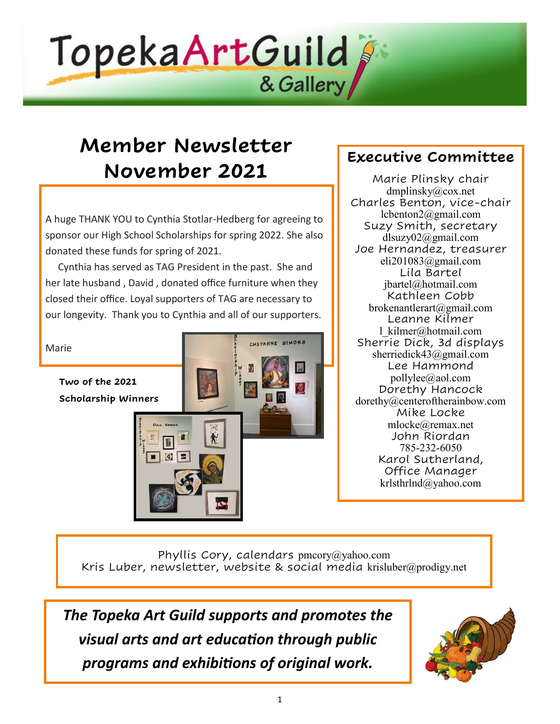

# **Member Newsletter November 2021**

A huge THANK YOU to Cynthia Stotlar-Hedberg for agreeing to sponsor our High School Scholarships for spring 2022. She also donated these funds for spring of 2021.

 Cynthia has served as TAG President in the past. She and her late husband , David , donated office furniture when they closed their office. Loyal supporters of TAG are necessary to our longevity. Thank you to Cynthia and all of our supporters.



### **Executive Committee**

Marie Plinsky chair dmplinsky@cox.net Charles Benton, vice-chair lcbenton2@gmail.com Suzy Smith, secretary [dlsuzy02@gmail.com](mailto:dlsuzy02@gmail.com) Joe Hernandez, treasurer eli201083@gmail.com Lila Bartel [jbartel@hotmail.com](mailto:jbartel@hotmail.com) Kathleen Cobb brokenantlerart@gmail.com Leanne Kilmer [l\\_kilmer@hotmail.com](mailto:l_kilmer@hotmail.com) Sherrie Dick, 3d displays sherriedick43@gmail.com Lee Hammond pollylee@aol.com Dorethy Hancock dorethy@centeroftherainbow.com Mike Locke [mlocke@remax.net](mailto:mlocke@remax.net) John Riordan 785-232-6050 Karol Sutherland, Office Manager [krlsthrlnd@yahoo.com](mailto:krlsthrlnd@yahoo.com)

Phyllis Cory, calendars pmcory@yahoo.com Kris Luber, newsletter, website & social media [krisluber@prodigy.net](mailto:krisluber@prodigy.net)

*The Topeka Art Guild supports and promotes the visual arts and art education through public programs and exhibitions of original work.* 

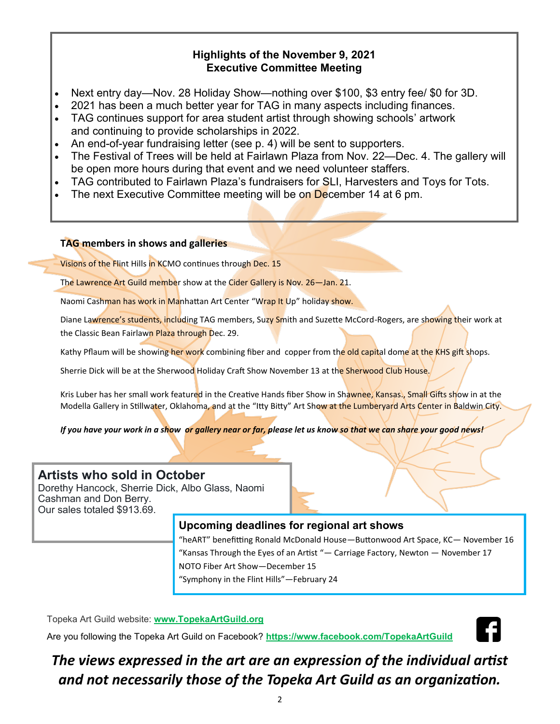#### **Highlights of the November 9, 2021 Executive Committee Meeting**

- Next entry day—Nov. 28 Holiday Show—nothing over \$100, \$3 entry fee/ \$0 for 3D.
- 2021 has been a much better year for TAG in many aspects including finances.
- TAG continues support for area student artist through showing schools' artwork and continuing to provide scholarships in 2022.
- An end-of-year fundraising letter (see p. 4) will be sent to supporters.
- The Festival of Trees will be held at Fairlawn Plaza from Nov. 22—Dec. 4. The gallery will be open more hours during that event and we need volunteer staffers.
- TAG contributed to Fairlawn Plaza's fundraisers for SLI, Harvesters and Toys for Tots.
- The next Executive Committee meeting will be on December 14 at 6 pm.

#### **TAG members in shows and galleries**

Visions of the Flint Hills in KCMO continues through Dec. 15

The Lawrence Art Guild member show at the Cider Gallery is Nov. 26-Jan. 21.

Naomi Cashman has work in Manhattan Art Center "Wrap It Up" holiday show.

Diane Lawrence's students, including TAG members, Suzy Smith and Suzette McCord-Rogers, are showing their work at the Classic Bean Fairlawn Plaza through Dec. 29.

Kathy Pflaum will be showing her work combining fiber and copper from the old capital dome at the KHS gift shops.

Sherrie Dick will be at the Sherwood Holiday Craft Show November 13 at the Sherwood Club House.

Kris Luber has her small work featured in the Creative Hands fiber Show in Shawnee, Kansas., Small Gifts show in at the Modella Gallery in Stillwater, Oklahoma, and at the "Itty Bitty" Art Show at the Lumberyard Arts Center in Baldwin City.

*If you have your work in a show or gallery near or far, please let us know so that we can share your good news!*

#### **Artists who sold in October**

Dorethy Hancock, Sherrie Dick, Albo Glass, Naomi Cashman and Don Berry. Our sales totaled \$913.69.

#### **Upcoming deadlines for regional art shows**

"heART" benefitting Ronald McDonald House—Buttonwood Art Space, KC— November 16 "Kansas Through the Eyes of an Artist "— Carriage Factory, Newton — November 17 NOTO Fiber Art Show—December 15 "Symphony in the Flint Hills"—February 24

Topeka Art Guild website: **[www.TopekaArtGuild.](topekaartguild.org)org**

Are you following the Topeka Art Guild on Facebook? **[https://www.facebook.com/TopekaArtGuild](facebook.com/TopekaArtGuild)**



## *The views expressed in the art are an expression of the individual artist and not necessarily those of the Topeka Art Guild as an organization.*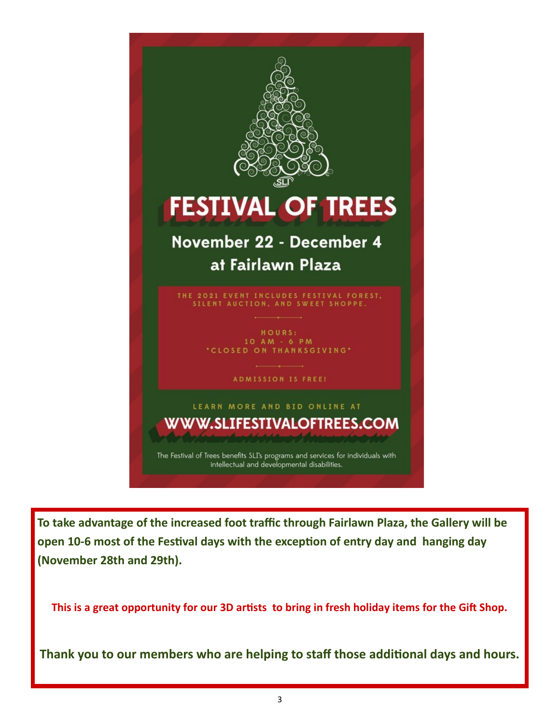

**To take advantage of the increased foot traffic through Fairlawn Plaza, the Gallery will be open 10-6 most of the Festival days with the exception of entry day and hanging day (November 28th and 29th).** 

**This is a great opportunity for our 3D artists to bring in fresh holiday items for the Gift Shop.** 

**Thank you to our members who are helping to staff those additional days and hours.**